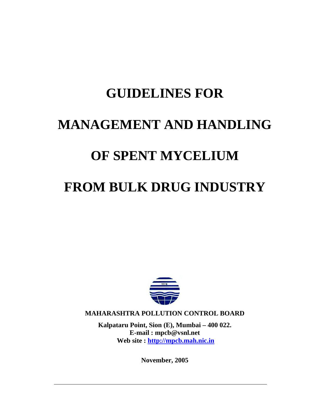# **GUIDELINES FOR MANAGEMENT AND HANDLING OF SPENT MYCELIUM FROM BULK DRUG INDUSTRY**



**MAHARASHTRA POLLUTION CONTROL BOARD** 

**Kalpataru Point, Sion (E), Mumbai – 400 022. E-mail : mpcb@vsnl.net Web site : http://mpcb.mah.nic.in**

**November, 2005**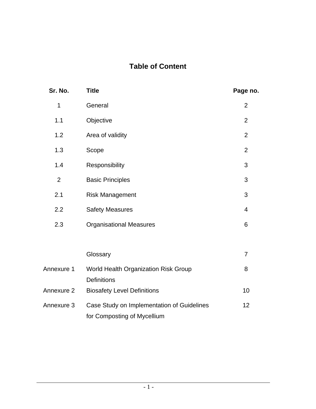# **Table of Content**

| Sr. No.        | <b>Title</b>                                                              | Page no.       |
|----------------|---------------------------------------------------------------------------|----------------|
| 1              | General                                                                   | $\overline{2}$ |
| 1.1            | Objective                                                                 | $\overline{2}$ |
| 1.2            | Area of validity                                                          | $\overline{2}$ |
| 1.3            | Scope                                                                     | $\overline{2}$ |
| 1.4            | Responsibility                                                            | 3              |
| $\overline{2}$ | <b>Basic Principles</b>                                                   | 3              |
| 2.1            | <b>Risk Management</b>                                                    | 3              |
| 2.2            | <b>Safety Measures</b>                                                    | $\overline{4}$ |
| 2.3            | <b>Organisational Measures</b>                                            | 6              |
|                |                                                                           |                |
|                | Glossary                                                                  | $\overline{7}$ |
| Annexure 1     | World Health Organization Risk Group                                      | 8              |
|                | <b>Definitions</b>                                                        |                |
| Annexure 2     | <b>Biosafety Level Definitions</b>                                        | 10             |
| Annexure 3     | Case Study on Implementation of Guidelines<br>for Composting of Mycellium | 12             |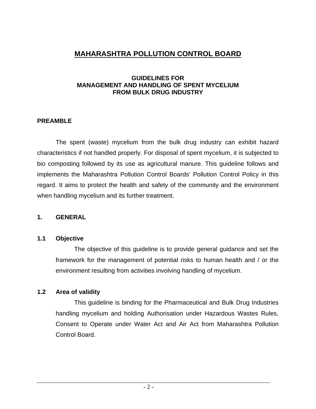# **MAHARASHTRA POLLUTION CONTROL BOARD**

#### **GUIDELINES FOR MANAGEMENT AND HANDLING OF SPENT MYCELIUM FROM BULK DRUG INDUSTRY**

#### **PREAMBLE**

The spent (waste) mycelium from the bulk drug industry can exhibit hazard characteristics if not handled properly. For disposal of spent mycelium, it is subjected to bio composting followed by its use as agricultural manure. This guideline follows and implements the Maharashtra Pollution Control Boards' Pollution Control Policy in this regard. It aims to protect the health and safety of the community and the environment when handling mycelium and its further treatment.

#### **1. GENERAL**

#### **1.1 Objective**

The objective of this guideline is to provide general guidance and set the framework for the management of potential risks to human health and / or the environment resulting from activities involving handling of mycelium.

# **1.2 Area of validity**

This guideline is binding for the Pharmaceutical and Bulk Drug Industries handling mycelium and holding Authorisation under Hazardous Wastes Rules, Consent to Operate under Water Act and Air Act from Maharashtra Pollution Control Board.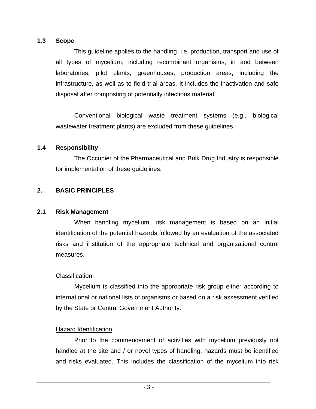#### **1.3 Scope**

This guideline applies to the handling, i.e. production, transport and use of all types of mycelium, including recombinant organisms, in and between laboratories, pilot plants, greenhouses, production areas, including the infrastructure, as well as to field trial areas. It includes the inactivation and safe disposal after composting of potentially infectious material.

Conventional biological waste treatment systems (e.g., biological wastewater treatment plants) are excluded from these guidelines.

# **1.4 Responsibility**

The Occupier of the Pharmaceutical and Bulk Drug Industry is responsible for implementation of these guidelines.

# **2. BASIC PRINCIPLES**

# **2.1 Risk Management**

When handling mycelium, risk management is based on an initial identification of the potential hazards followed by an evaluation of the associated risks and institution of the appropriate technical and organisational control measures.

# **Classification**

Mycelium is classified into the appropriate risk group either according to international or national lists of organisms or based on a risk assessment verified by the State or Central Government Authority.

# Hazard Identification

Prior to the commencement of activities with mycelium previously not handled at the site and / or novel types of handling, hazards must be identified and risks evaluated. This includes the classification of the mycelium into risk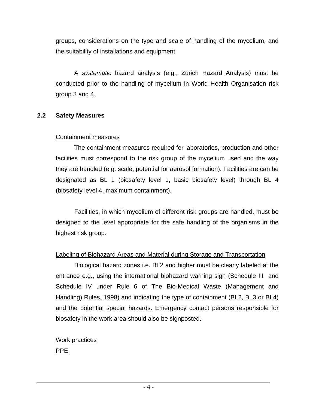groups, considerations on the type and scale of handling of the mycelium, and the suitability of installations and equipment.

A *systematic* hazard analysis (e.g., Zurich Hazard Analysis) must be conducted prior to the handling of mycelium in World Health Organisation risk group 3 and 4.

#### **2.2 Safety Measures**

#### Containment measures

The containment measures required for laboratories, production and other facilities must correspond to the risk group of the mycelium used and the way they are handled (e.g. scale, potential for aerosol formation). Facilities are can be designated as BL 1 (biosafety level 1, basic biosafety level) through BL 4 (biosafety level 4, maximum containment).

Facilities, in which mycelium of different risk groups are handled, must be designed to the level appropriate for the safe handling of the organisms in the highest risk group.

# Labeling of Biohazard Areas and Material during Storage and Transportation

Biological hazard zones i.e. BL2 and higher must be clearly labeled at the entrance e.g., using the international biohazard warning sign (Schedule III and Schedule IV under Rule 6 of The Bio-Medical Waste (Management and Handling) Rules, 1998) and indicating the type of containment (BL2, BL3 or BL4) and the potential special hazards. Emergency contact persons responsible for biosafety in the work area should also be signposted.

# Work practices PPE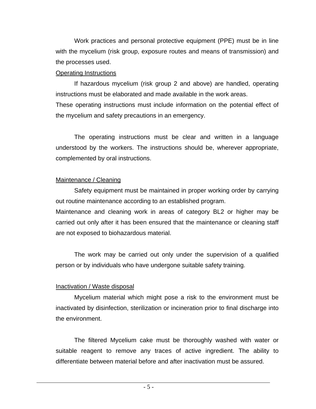Work practices and personal protective equipment (PPE) must be in line with the mycelium (risk group, exposure routes and means of transmission) and the processes used.

# Operating Instructions

If hazardous mycelium (risk group 2 and above) are handled, operating instructions must be elaborated and made available in the work areas.

These operating instructions must include information on the potential effect of the mycelium and safety precautions in an emergency.

The operating instructions must be clear and written in a language understood by the workers. The instructions should be, wherever appropriate, complemented by oral instructions.

#### Maintenance / Cleaning

Safety equipment must be maintained in proper working order by carrying out routine maintenance according to an established program.

Maintenance and cleaning work in areas of category BL2 or higher may be carried out only after it has been ensured that the maintenance or cleaning staff are not exposed to biohazardous material.

The work may be carried out only under the supervision of a qualified person or by individuals who have undergone suitable safety training.

# Inactivation / Waste disposal

Mycelium material which might pose a risk to the environment must be inactivated by disinfection, sterilization or incineration prior to final discharge into the environment.

The filtered Mycelium cake must be thoroughly washed with water or suitable reagent to remove any traces of active ingredient. The ability to differentiate between material before and after inactivation must be assured.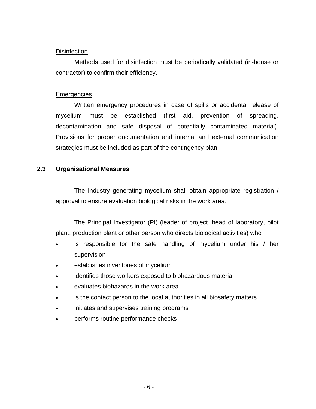#### **Disinfection**

Methods used for disinfection must be periodically validated (in-house or contractor) to confirm their efficiency.

#### **Emergencies**

Written emergency procedures in case of spills or accidental release of mycelium must be established (first aid, prevention of spreading, decontamination and safe disposal of potentially contaminated material). Provisions for proper documentation and internal and external communication strategies must be included as part of the contingency plan.

# **2.3 Organisational Measures**

The Industry generating mycelium shall obtain appropriate registration / approval to ensure evaluation biological risks in the work area.

The Principal Investigator (PI) (leader of project, head of laboratory, pilot plant, production plant or other person who directs biological activities) who

- is responsible for the safe handling of mycelium under his / her supervision
- establishes inventories of mycelium
- identifies those workers exposed to biohazardous material
- evaluates biohazards in the work area
- is the contact person to the local authorities in all biosafety matters
- initiates and supervises training programs
- performs routine performance checks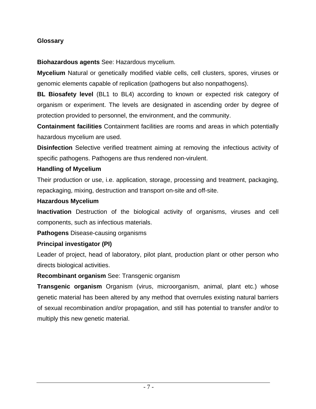# **Glossary**

**Biohazardous agents** See: Hazardous mycelium.

**Mycelium** Natural or genetically modified viable cells, cell clusters, spores, viruses or genomic elements capable of replication (pathogens but also nonpathogens).

**BL Biosafety level** (BL1 to BL4) according to known or expected risk category of organism or experiment. The levels are designated in ascending order by degree of protection provided to personnel, the environment, and the community.

**Containment facilities** Containment facilities are rooms and areas in which potentially hazardous mycelium are used.

**Disinfection** Selective verified treatment aiming at removing the infectious activity of specific pathogens. Pathogens are thus rendered non-virulent.

# **Handling of Mycelium**

Their production or use, i.e. application, storage, processing and treatment, packaging, repackaging, mixing, destruction and transport on-site and off-site.

# **Hazardous Mycelium**

**Inactivation** Destruction of the biological activity of organisms, viruses and cell components, such as infectious materials.

**Pathogens** Disease-causing organisms

# **Principal investigator (PI)**

Leader of project, head of laboratory, pilot plant, production plant or other person who directs biological activities.

# **Recombinant organism** See: Transgenic organism

**Transgenic organism** Organism (virus, microorganism, animal, plant etc.) whose genetic material has been altered by any method that overrules existing natural barriers of sexual recombination and/or propagation, and still has potential to transfer and/or to multiply this new genetic material.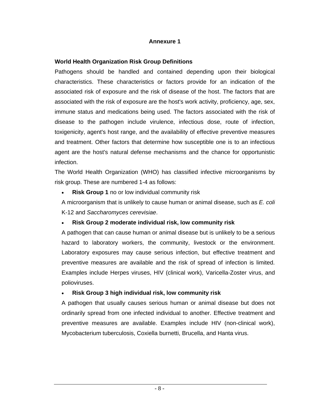#### **Annexure 1**

#### **World Health Organization Risk Group Definitions**

Pathogens should be handled and contained depending upon their biological characteristics. These characteristics or factors provide for an indication of the associated risk of exposure and the risk of disease of the host. The factors that are associated with the risk of exposure are the host's work activity, proficiency, age, sex, immune status and medications being used. The factors associated with the risk of disease to the pathogen include virulence, infectious dose, route of infection, toxigenicity, agent's host range, and the availability of effective preventive measures and treatment. Other factors that determine how susceptible one is to an infectious agent are the host's natural defense mechanisms and the chance for opportunistic infection.

The World Health Organization (WHO) has classified infective microorganisms by risk group. These are numbered 1-4 as follows:

**Risk Group 1** no or low individual community risk

A microorganism that is unlikely to cause human or animal disease, such as *E. coli*  K-12 and *Saccharomyces cerevisiae*.

#### • **Risk Group 2 moderate individual risk, low community risk**

A pathogen that can cause human or animal disease but is unlikely to be a serious hazard to laboratory workers, the community, livestock or the environment. Laboratory exposures may cause serious infection, but effective treatment and preventive measures are available and the risk of spread of infection is limited. Examples include Herpes viruses, HIV (clinical work), Varicella-Zoster virus, and polioviruses.

#### • **Risk Group 3 high individual risk, low community risk**

A pathogen that usually causes serious human or animal disease but does not ordinarily spread from one infected individual to another. Effective treatment and preventive measures are available. Examples include HIV (non-clinical work), Mycobacterium tuberculosis, Coxiella burnetti, Brucella, and Hanta virus.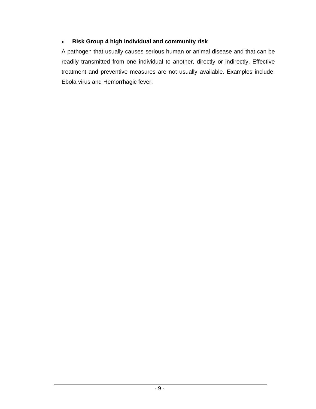# • **Risk Group 4 high individual and community risk**

A pathogen that usually causes serious human or animal disease and that can be readily transmitted from one individual to another, directly or indirectly. Effective treatment and preventive measures are not usually available. Examples include: Ebola virus and Hemorrhagic fever.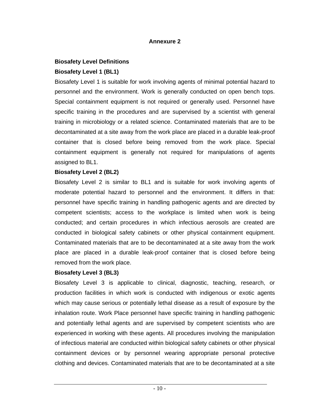#### **Annexure 2**

#### **Biosafety Level Definitions**

#### **Biosafety Level 1 (BL1)**

Biosafety Level 1 is suitable for work involving agents of minimal potential hazard to personnel and the environment. Work is generally conducted on open bench tops. Special containment equipment is not required or generally used. Personnel have specific training in the procedures and are supervised by a scientist with general training in microbiology or a related science. Contaminated materials that are to be decontaminated at a site away from the work place are placed in a durable leak-proof container that is closed before being removed from the work place. Special containment equipment is generally not required for manipulations of agents assigned to BL1.

#### **Biosafety Level 2 (BL2)**

Biosafety Level 2 is similar to BL1 and is suitable for work involving agents of moderate potential hazard to personnel and the environment. It differs in that: personnel have specific training in handling pathogenic agents and are directed by competent scientists; access to the workplace is limited when work is being conducted; and certain procedures in which infectious aerosols are created are conducted in biological safety cabinets or other physical containment equipment. Contaminated materials that are to be decontaminated at a site away from the work place are placed in a durable leak-proof container that is closed before being removed from the work place.

#### **Biosafety Level 3 (BL3)**

Biosafety Level 3 is applicable to clinical, diagnostic, teaching, research, or production facilities in which work is conducted with indigenous or exotic agents which may cause serious or potentially lethal disease as a result of exposure by the inhalation route. Work Place personnel have specific training in handling pathogenic and potentially lethal agents and are supervised by competent scientists who are experienced in working with these agents. All procedures involving the manipulation of infectious material are conducted within biological safety cabinets or other physical containment devices or by personnel wearing appropriate personal protective clothing and devices. Contaminated materials that are to be decontaminated at a site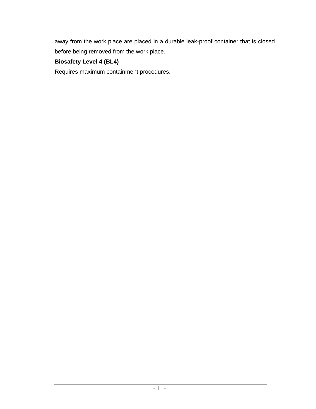away from the work place are placed in a durable leak-proof container that is closed before being removed from the work place.

# **Biosafety Level 4 (BL4)**

Requires maximum containment procedures.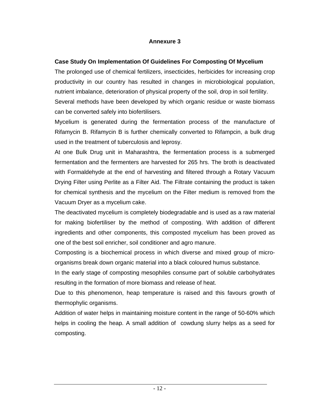#### **Annexure 3**

#### **Case Study On Implementation Of Guidelines For Composting Of Mycelium**

The prolonged use of chemical fertilizers, insecticides, herbicides for increasing crop productivity in our country has resulted in changes in microbiological population, nutrient imbalance, deterioration of physical property of the soil, drop in soil fertility. Several methods have been developed by which organic residue or waste biomass can be converted safely into biofertilisers.

Mycelium is generated during the fermentation process of the manufacture of Rifamycin B. Rifamycin B is further chemically converted to Rifampcin, a bulk drug used in the treatment of tuberculosis and leprosy.

At one Bulk Drug unit in Maharashtra, the fermentation process is a submerged fermentation and the fermenters are harvested for 265 hrs. The broth is deactivated with Formaldehyde at the end of harvesting and filtered through a Rotary Vacuum Drying Filter using Perlite as a Filter Aid. The Filtrate containing the product is taken for chemical synthesis and the mycelium on the Filter medium is removed from the Vacuum Dryer as a mycelium cake.

The deactivated mycelium is completely biodegradable and is used as a raw material for making biofertiliser by the method of composting. With addition of different ingredients and other components, this composted mycelium has been proved as one of the best soil enricher, soil conditioner and agro manure.

Composting is a biochemical process in which diverse and mixed group of microorganisms break down organic material into a black coloured humus substance.

In the early stage of composting mesophiles consume part of soluble carbohydrates resulting in the formation of more biomass and release of heat.

Due to this phenomenon, heap temperature is raised and this favours growth of thermophylic organisms.

Addition of water helps in maintaining moisture content in the range of 50-60% which helps in cooling the heap. A small addition of cowdung slurry helps as a seed for composting.